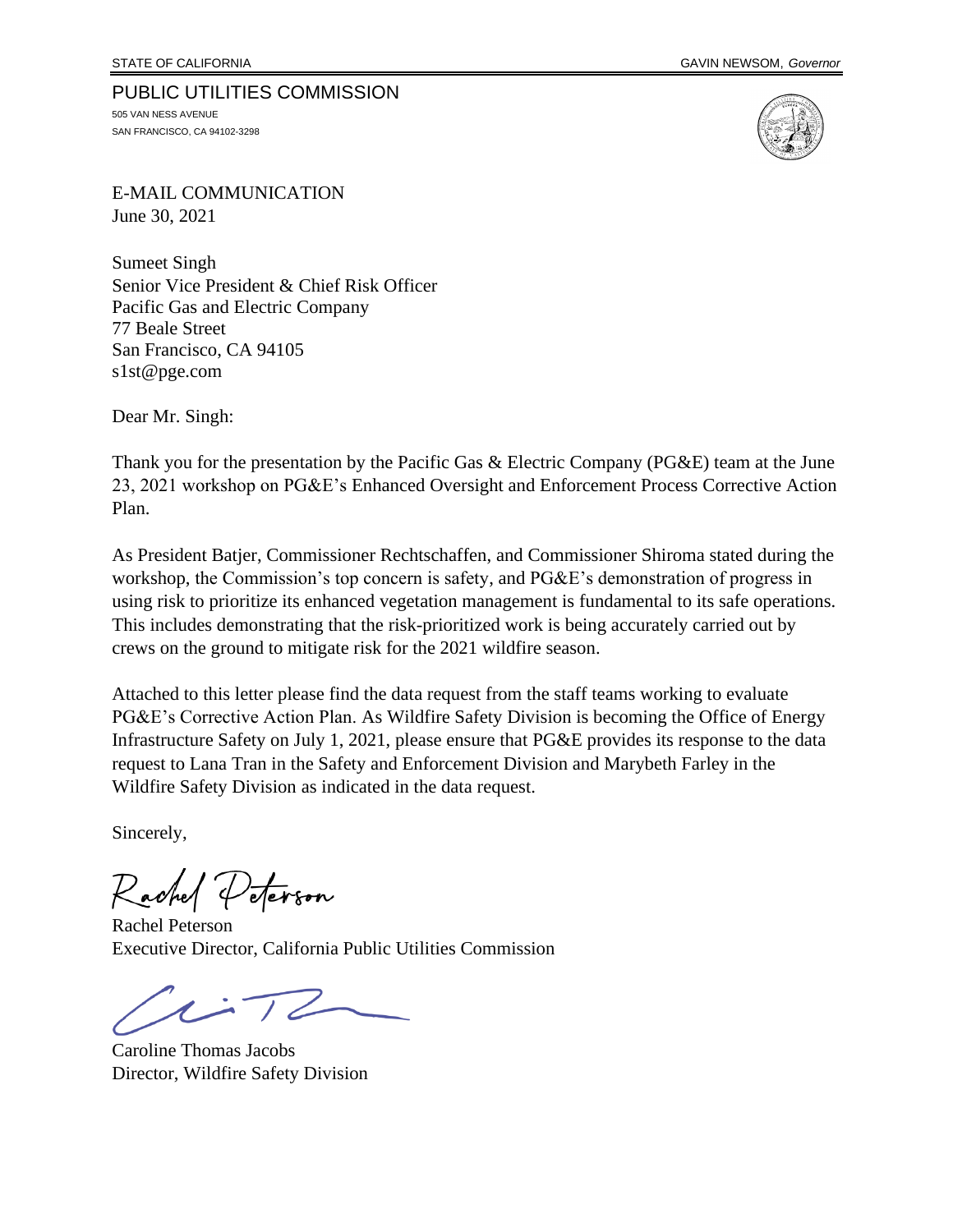## PUBLIC UTILITIES COMMISSION

505 VAN NESS AVENUE SAN FRANCISCO, CA 94102-3298



E-MAIL COMMUNICATION June 30, 2021

Sumeet Singh Senior Vice President & Chief Risk Officer Pacific Gas and Electric Company 77 Beale Street San Francisco, CA 94105 s1st@pge.com

Dear Mr. Singh:

Thank you for the presentation by the Pacific Gas & Electric Company (PG&E) team at the June 23, 2021 workshop on PG&E's Enhanced Oversight and Enforcement Process Corrective Action Plan.

As President Batjer, Commissioner Rechtschaffen, and Commissioner Shiroma stated during the workshop, the Commission's top concern is safety, and PG&E's demonstration of progress in using risk to prioritize its enhanced vegetation management is fundamental to its safe operations. This includes demonstrating that the risk-prioritized work is being accurately carried out by crews on the ground to mitigate risk for the 2021 wildfire season.

Attached to this letter please find the data request from the staff teams working to evaluate PG&E's Corrective Action Plan. As Wildfire Safety Division is becoming the Office of Energy Infrastructure Safety on July 1, 2021, please ensure that PG&E provides its response to the data request to Lana Tran in the Safety and Enforcement Division and Marybeth Farley in the Wildfire Safety Division as indicated in the data request.

Sincerely,

ter<sub>son</sub>

Rachel Peterson Executive Director, California Public Utilities Commission

Caroline Thomas Jacobs Director, Wildfire Safety Division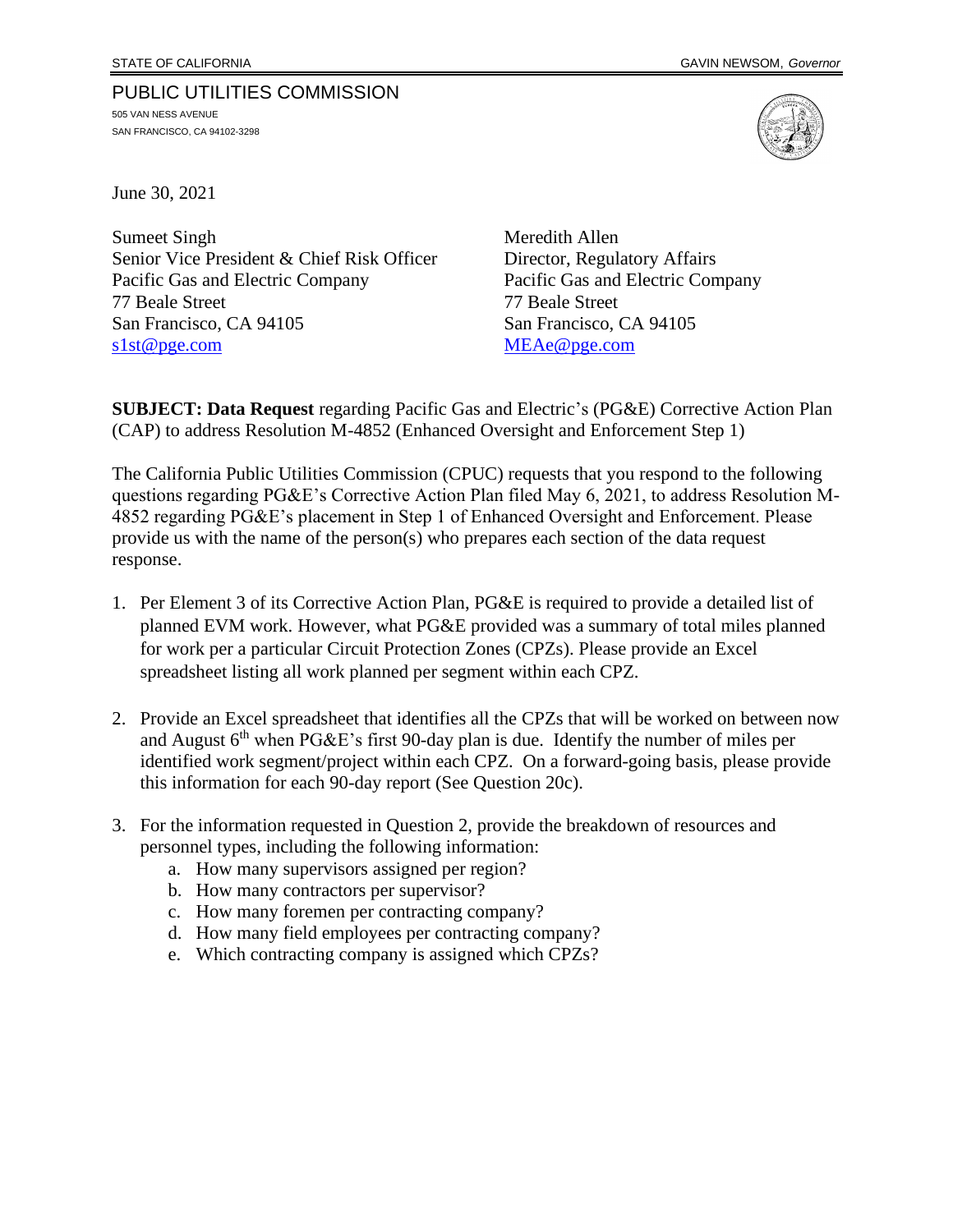## PUBLIC UTILITIES COMMISSION 505 VAN NESS AVENUE

SAN FRANCISCO, CA 94102-3298



June 30, 2021

Sumeet Singh Meredith Allen Senior Vice President & Chief Risk Officer Director, Regulatory Affairs Pacific Gas and Electric Company Pacific Gas and Electric Company 77 Beale Street 77 Beale Street San Francisco, CA 94105 San Francisco, CA 94105 [s1st@pge.com](mailto:s1st@pge.com) [MEAe@pge.com](mailto:MEAe@pge.com)

**SUBJECT: Data Request** regarding Pacific Gas and Electric's (PG&E) Corrective Action Plan (CAP) to address Resolution M-4852 (Enhanced Oversight and Enforcement Step 1)

The California Public Utilities Commission (CPUC) requests that you respond to the following questions regarding PG&E's Corrective Action Plan filed May 6, 2021, to address Resolution M-4852 regarding PG&E's placement in Step 1 of Enhanced Oversight and Enforcement. Please provide us with the name of the person(s) who prepares each section of the data request response.

- 1. Per Element 3 of its Corrective Action Plan, PG&E is required to provide a detailed list of planned EVM work. However, what PG&E provided was a summary of total miles planned for work per a particular Circuit Protection Zones (CPZs). Please provide an Excel spreadsheet listing all work planned per segment within each CPZ.
- 2. Provide an Excel spreadsheet that identifies all the CPZs that will be worked on between now and August  $6<sup>th</sup>$  when PG&E's first 90-day plan is due. Identify the number of miles per identified work segment/project within each CPZ. On a forward-going basis, please provide this information for each 90-day report (See Question 20c).
- 3. For the information requested in Question 2, provide the breakdown of resources and personnel types, including the following information:
	- a. How many supervisors assigned per region?
	- b. How many contractors per supervisor?
	- c. How many foremen per contracting company?
	- d. How many field employees per contracting company?
	- e. Which contracting company is assigned which CPZs?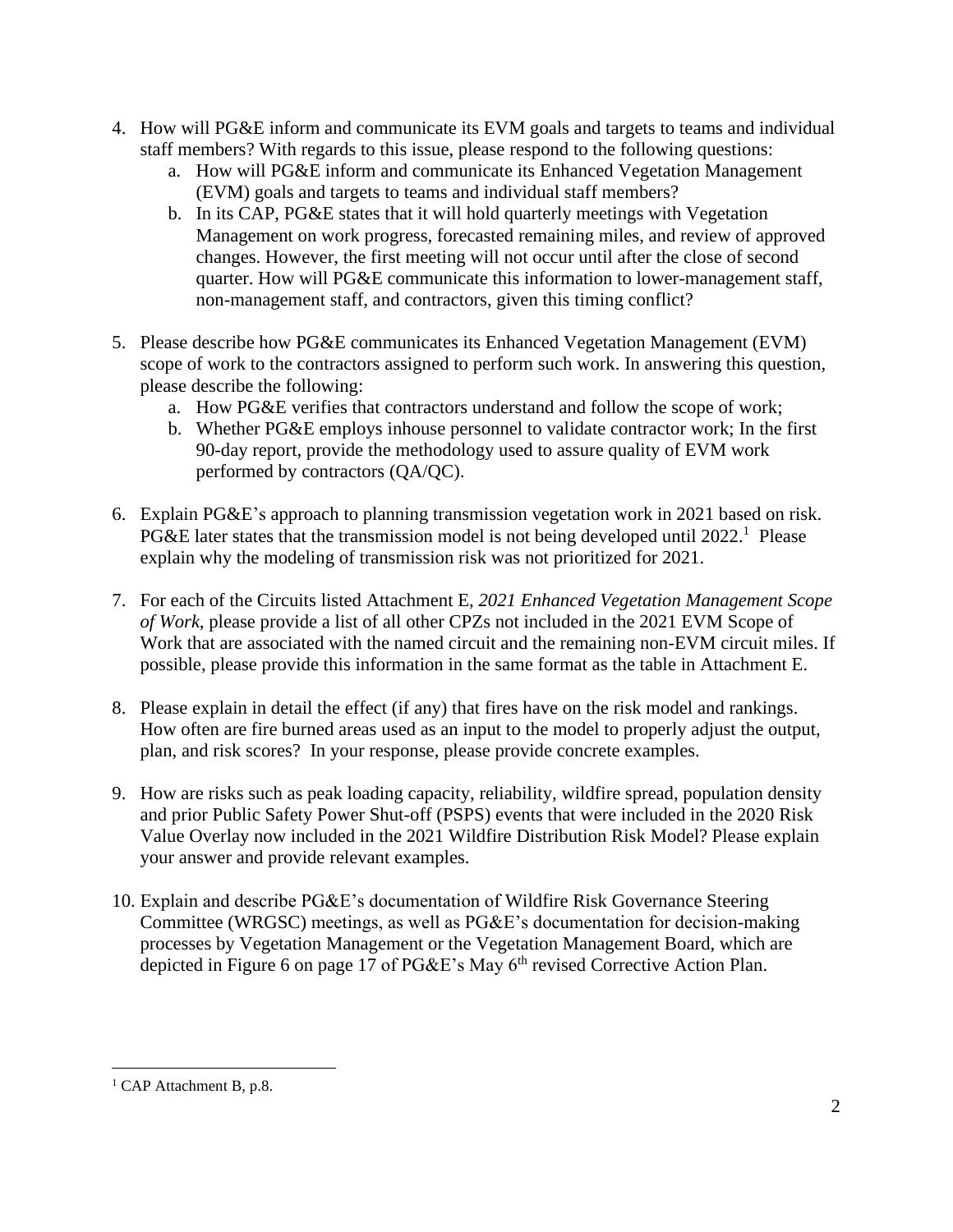- 4. How will PG&E inform and communicate its EVM goals and targets to teams and individual staff members? With regards to this issue, please respond to the following questions:
	- a. How will PG&E inform and communicate its Enhanced Vegetation Management (EVM) goals and targets to teams and individual staff members?
	- b. In its CAP, PG&E states that it will hold quarterly meetings with Vegetation Management on work progress, forecasted remaining miles, and review of approved changes. However, the first meeting will not occur until after the close of second quarter. How will PG&E communicate this information to lower-management staff, non-management staff, and contractors, given this timing conflict?
- 5. Please describe how PG&E communicates its Enhanced Vegetation Management (EVM) scope of work to the contractors assigned to perform such work. In answering this question, please describe the following:
	- a. How PG&E verifies that contractors understand and follow the scope of work;
	- b. Whether PG&E employs inhouse personnel to validate contractor work; In the first 90-day report, provide the methodology used to assure quality of EVM work performed by contractors (QA/QC).
- 6. Explain PG&E's approach to planning transmission vegetation work in 2021 based on risk. PG&E later states that the transmission model is not being developed until 2022.<sup>1</sup> Please explain why the modeling of transmission risk was not prioritized for 2021.
- 7. For each of the Circuits listed Attachment E, *2021 Enhanced Vegetation Management Scope of Work*, please provide a list of all other CPZs not included in the 2021 EVM Scope of Work that are associated with the named circuit and the remaining non-EVM circuit miles. If possible, please provide this information in the same format as the table in Attachment E.
- 8. Please explain in detail the effect (if any) that fires have on the risk model and rankings. How often are fire burned areas used as an input to the model to properly adjust the output, plan, and risk scores? In your response, please provide concrete examples.
- 9. How are risks such as peak loading capacity, reliability, wildfire spread, population density and prior Public Safety Power Shut-off (PSPS) events that were included in the 2020 Risk Value Overlay now included in the 2021 Wildfire Distribution Risk Model? Please explain your answer and provide relevant examples.
- 10. Explain and describe PG&E's documentation of Wildfire Risk Governance Steering Committee (WRGSC) meetings, as well as PG&E's documentation for decision-making processes by Vegetation Management or the Vegetation Management Board, which are depicted in Figure 6 on page 17 of PG&E's May 6<sup>th</sup> revised Corrective Action Plan.

 $<sup>1</sup>$  CAP Attachment B, p.8.</sup>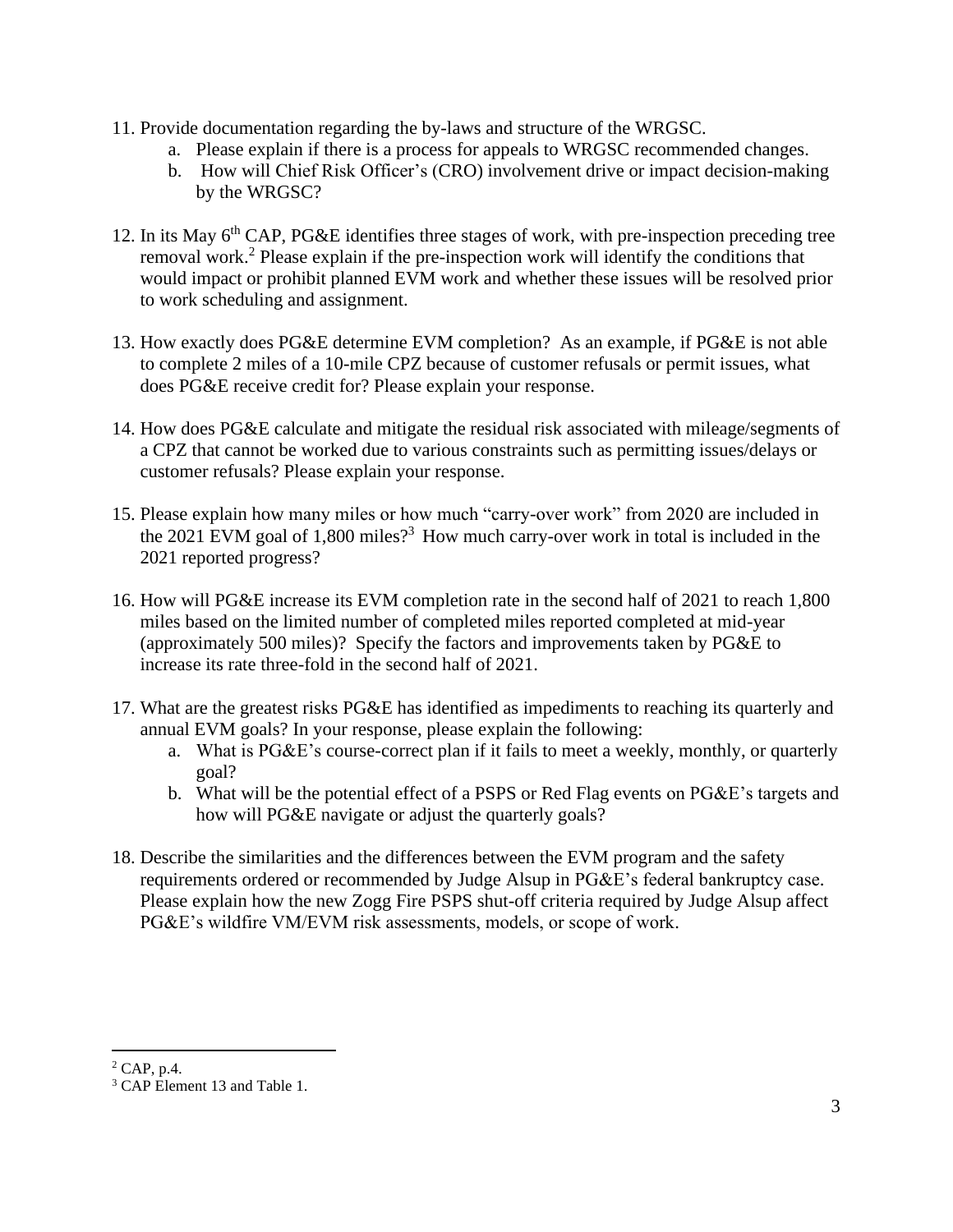- 11. Provide documentation regarding the by-laws and structure of the WRGSC.
	- a. Please explain if there is a process for appeals to WRGSC recommended changes.
	- b. How will Chief Risk Officer's (CRO) involvement drive or impact decision-making by the WRGSC?
- 12. In its May 6th CAP, PG&E identifies three stages of work, with pre-inspection preceding tree removal work. <sup>2</sup> Please explain if the pre-inspection work will identify the conditions that would impact or prohibit planned EVM work and whether these issues will be resolved prior to work scheduling and assignment.
- 13. How exactly does PG&E determine EVM completion? As an example, if PG&E is not able to complete 2 miles of a 10-mile CPZ because of customer refusals or permit issues, what does PG&E receive credit for? Please explain your response.
- 14. How does PG&E calculate and mitigate the residual risk associated with mileage/segments of a CPZ that cannot be worked due to various constraints such as permitting issues/delays or customer refusals? Please explain your response.
- 15. Please explain how many miles or how much "carry-over work" from 2020 are included in the 2021 EVM goal of  $1,800$  miles?<sup>3</sup> How much carry-over work in total is included in the 2021 reported progress?
- 16. How will PG&E increase its EVM completion rate in the second half of 2021 to reach 1,800 miles based on the limited number of completed miles reported completed at mid-year (approximately 500 miles)? Specify the factors and improvements taken by PG&E to increase its rate three-fold in the second half of 2021.
- 17. What are the greatest risks PG&E has identified as impediments to reaching its quarterly and annual EVM goals? In your response, please explain the following:
	- a. What is PG&E's course-correct plan if it fails to meet a weekly, monthly, or quarterly goal?
	- b. What will be the potential effect of a PSPS or Red Flag events on PG&E's targets and how will PG&E navigate or adjust the quarterly goals?
- 18. Describe the similarities and the differences between the EVM program and the safety requirements ordered or recommended by Judge Alsup in PG&E's federal bankruptcy case. Please explain how the new Zogg Fire PSPS shut-off criteria required by Judge Alsup affect PG&E's wildfire VM/EVM risk assessments, models, or scope of work.

 $2$  CAP, p.4.

<sup>&</sup>lt;sup>3</sup> CAP Element 13 and Table 1.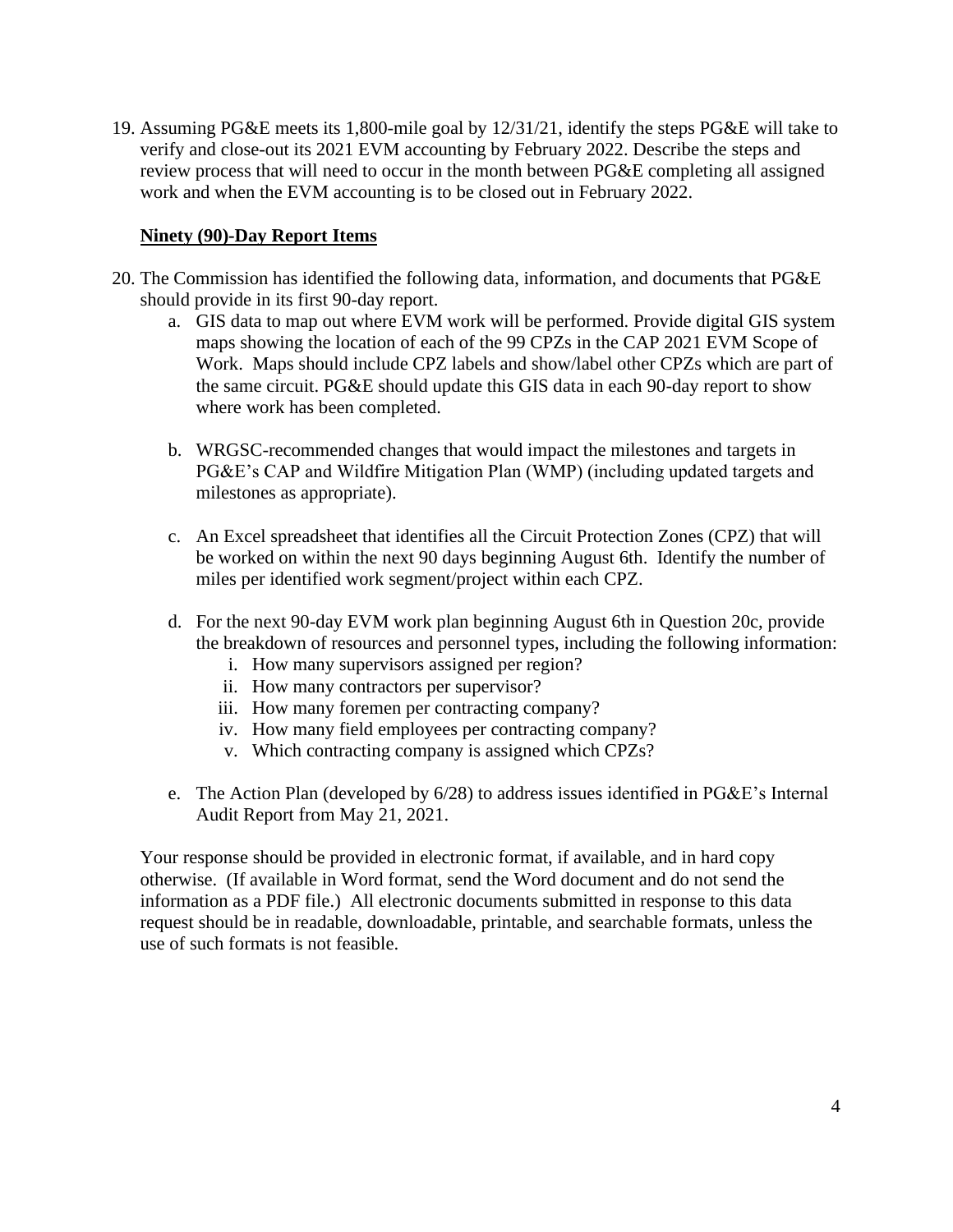19. Assuming PG&E meets its 1,800-mile goal by 12/31/21, identify the steps PG&E will take to verify and close-out its 2021 EVM accounting by February 2022. Describe the steps and review process that will need to occur in the month between PG&E completing all assigned work and when the EVM accounting is to be closed out in February 2022.

## **Ninety (90)-Day Report Items**

- 20. The Commission has identified the following data, information, and documents that PG&E should provide in its first 90-day report.
	- a. GIS data to map out where EVM work will be performed. Provide digital GIS system maps showing the location of each of the 99 CPZs in the CAP 2021 EVM Scope of Work. Maps should include CPZ labels and show/label other CPZs which are part of the same circuit. PG&E should update this GIS data in each 90-day report to show where work has been completed.
	- b. WRGSC-recommended changes that would impact the milestones and targets in PG&E's CAP and Wildfire Mitigation Plan (WMP) (including updated targets and milestones as appropriate).
	- c. An Excel spreadsheet that identifies all the Circuit Protection Zones (CPZ) that will be worked on within the next 90 days beginning August 6th. Identify the number of miles per identified work segment/project within each CPZ.
	- d. For the next 90-day EVM work plan beginning August 6th in Question 20c, provide the breakdown of resources and personnel types, including the following information:
		- i. How many supervisors assigned per region?
		- ii. How many contractors per supervisor?
		- iii. How many foremen per contracting company?
		- iv. How many field employees per contracting company?
		- v. Which contracting company is assigned which CPZs?
	- e. The Action Plan (developed by 6/28) to address issues identified in PG&E's Internal Audit Report from May 21, 2021.

Your response should be provided in electronic format, if available, and in hard copy otherwise. (If available in Word format, send the Word document and do not send the information as a PDF file.) All electronic documents submitted in response to this data request should be in readable, downloadable, printable, and searchable formats, unless the use of such formats is not feasible.